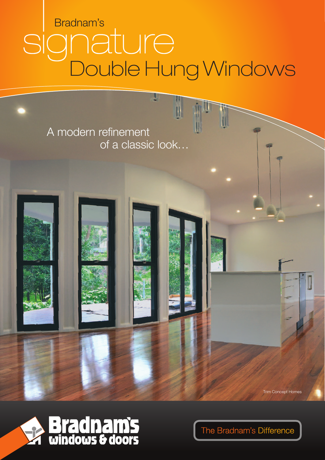# Bradnam's **Inature**<br>Double Hung Windows SIC

y

 $\mathbf{I}$ 

A modern refinement of a classic look...

**Trim Concept Homes** 



The Bradnam's Difference